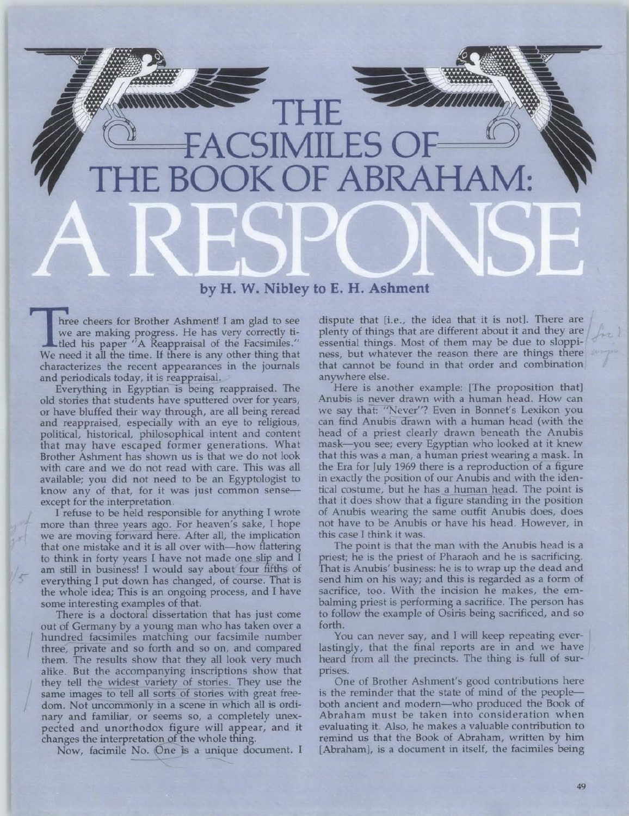## by H. W. Nibley to E. H. Ashment

hree cheers for Brother Ashment! I am glad to see we are making progress. He has very correctly ti-<br>tled his paper "A Reappraisal of the Facsimiles." We need it all the time. If there is any other thing that characterizes the recent appearances in the journals and periodicals today, it is reappraisal.

Everything in Egyptian is being reappraised. The old stories that students have sputtered over for years, or have bluffed their way through, are all being reread and reappraised, especially with an eye to religious, political, historical, philosophical intent and content that may have escaped former generations. What Brother Ashment has shown us is that we do not look with care and we do not read with care. This was all available; you did not need to be an Egyptologist to know any of that, for it was just common senseexcept for the interpretation.

I refuse to be held responsible for anything I wrote more than three years ago. For heaven's sake, I hope we are moving forward here. After all, the implication that one mistake and it is all over with—how flattering to think in forty years I have not made one slip and I am still in business! I would say about four fifths of everything I put down has changed, of course. That is the whole idea; This is an ongoing process, and I have some interesting examples of that.

There is a doctoral dissertation that has just come out of Germany by a young man who has taken over a hundred facsimiles matching our facsimile number three, private and so forth and so on, and compared them. The results show that they all look very much alike. But the accompanying inscriptions show that they tell the widest variety of stories. They use the same images to tell all sorts of stories with great freedom. Not uncommonly in a scene in which all is ordinary and familiar, or seems so, a completely unexpected and unorthodox figure will appear, and it changes the interpretation of the whole thing.

Now, facimile No. One is a unique document. I

dispute that [i.e., the idea that it is not]. There are plenty of things that are different about it and they are essential things. Most of them may be due to sloppiness, but whatever the reason there are things there that cannot be found in that order and combination anvwhere else.

Here is another example: [The proposition that] Anubis is never drawn with a human head. How can we say that: "Never"? Even in Bonnet's Lexikon you can find Anubis drawn with a human head (with the head of a priest clearly drawn beneath the Anubis mask-you see; every Egyptian who looked at it knew that this was a man, a human priest wearing a mask. In the Era for July 1969 there is a reproduction of a figure in exactly the position of our Anubis and with the identical costume, but he has a human head. The point is that it does show that a figure standing in the position of Anubis wearing the same outfit Anubis does, does not have to be Anubis or have his head. However, in this case I think it was.

The point is that the man with the Anubis head is a priest; he is the priest of Pharaoh and he is sacrificing. That is Anubis' business: he is to wrap up the dead and send him on his way; and this is regarded as a form of sacrifice, too. With the incision he makes, the embalming priest is performing a sacrifice. The person has to follow the example of Osiris being sacrificed, and so forth.

You can never say, and I will keep repeating everlastingly, that the final reports are in and we have heard from all the precincts. The thing is full of surprises.

One of Brother Ashment's good contributions here is the reminder that the state of mind of the peopleboth ancient and modern-who produced the Book of Abraham must be taken into consideration when evaluating it. Also, he makes a valuable contribution to remind us that the Book of Abraham, written by him [Abraham], is a document in itself, the facimiles being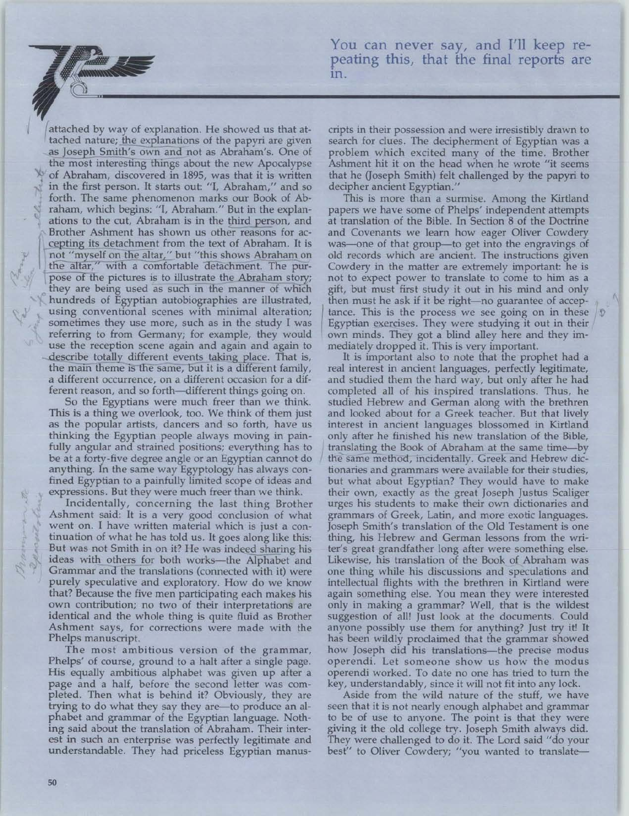You can never say, and I'll keep repeating this, that the final reports are

tached nature; the explanations of the papyri are given search for clues. The decipherment of Egyptian was a as Joseph Smith's own and not as Abraham's. One of problem which excited many of the time. Brother the most interesting things about the new Apocalypse of Abraham, discovered in 1895, was that it is written that he (Joseph Smith) felt challenged by the papyri to in the first person. It starts out: "I, Abraham," and so decipher ancient Egyptian." in the first person. It starts out: "I, Abraham," and so forth. The same phenomenon marks our Book of Ab-<br>
raham, which begins: "I, Abraham." But in the explan-<br>
papers we have some of Phelps' independent attempts raham, which begins: "I, Abraham." But in the explan-<br>ations to the cut, Abraham is in the third person, and at translation of the Bible. In Section 8 of the Doctrine ations to the cut, Abraham is in the third person, and at translation of the Bible. In Section 8 of the Doctrine<br>Brother Ashment has shown us other reasons for ac- and Covenants we learn how eager Oliver Cowdery cepting its detachment from the text of Abraham. It is was—one of that group—to get into the engravings of not "myself on the altar," but "this shows Abraham on old records which are ancient. The instructions given not "myself on the altar," but "this shows Abraham on old records which are ancient. The instructions given the altar," with a comfortable detachment. The pur-<br>Cowdery in the matter are extremely important: he is the altar," with a comfortable detachment. The pur-<br>pose of the pictures is to illustrate the Abraham story; they are being used as such in the manner of which hundreds of Egyptian autobiographies are illustrated, using conventional scenes with minimal alteration; sometimes they use more, such as in the study I was referring to from Germany; for example, they would use the reception scene again and again and again to describe totally different events taking place. That is, the main theme is the same, but it is a different family, a different occurrence, on a different occasion for a different reason, and so forth--different things going on.

So the Egyptians were much freer than we think. This is a thing we overlook, too. We think of them just as the popular artists, dancers and so forth, have us thinking the Egyptian people always moving in painfully angular and strained positions; everything has to be at a forty-five degree angle or an Egyptian cannot do anything. In the same way Egyptology has always confined Egyptian to a painfully limited scope of ideas and expressions. But they were much freer than we think.

Incidentally, concerning the last thing Brother Ashment said: It is a very good conclusion of what went on. I have written material which is just a continuation of what he has told us. It goes along like this: But was not Smith in on it? He was indeed sharing his ideas with others for both works-the Alphabet and Grammar and the translations (connected with it) were purely speculative and exploratory. How do we know that? Because the five men participating each makes his own contribution; no two of their interpretations are identical and the whole thing is quite fluid as Brother suggestion of all! Just look at the documents. Could Ashment says, for corrections were made with the anyone possibly use them for anything? Just try it! It Ashment says, for corrections were made with the

Phelps' of course, ground to a halt after a single page. His equally ambitious alphabet was given up after a operendi worked. To date no one has tried to turn the page and a half, before the second letter was com-<br>page and a half, before the second letter was com- key, understan page and a half, before the second letter was com-<br>pleted. Then what is behind it? Obviously, they are Aside from the wild nature of the stuff, we have pleted. Then what is behind it? Obviously, they are trying to do what they say they are—to produce an al-<br>phabet and grammar of the Egyptian language. Noth- to be of use to anyone. The point is that they were phabet and grammar of the Egyptian language. Nothing said about the translation of Abraham. Their inter- giving it the old college try. Joseph Smith always did. est ir understandable. They had priceless Egyptian manus-<br>best" to Oliver Cowdery; "you wanted to translate

attached by way of explanation. He showed us that at- cripts in their possession and were irresistibly drawn to problem which excited many of the time. Brother<br>Ashment hit it on the head when he wrote "it seems

> and Covenants we learn how eager Oliver Cowdery not to expect power to translate to come to him as a gift, but must first study it out in his mind and only then must he ask if it be right-no guarantee of acceptance. This is the process we see going on in these  $\sqrt{y}$ Egyptian exercises. They were studying it out in their own minds. They got a blind alley here and they immediately dropped it. This is very important.

It is important also to note that the prophet had a real interest in ancient languages, perfectly legitimate, and studied them the hard way, but only after he had completed all of his inspired translations. Thus, he studied Hebrew and German along with the brethren and looked about for a Greek teacher. But that lively interest in ancient languages blossomed in Kirtland only after he finished his new translation of the Bible, translating the Book of Abraham at the same time---by the same method, incidentally. Greek and Hebrew dictionaries and grammars were available for their studies, but what about Egyptian? They would have to make their own, exactly as the great Joseph Justus Scaliger urges his students to make their own dictionaries and grammars of Greek, Latin, and more exotic languages. Joseph Smith's translation of the Old Testament is one thing, his Hebrew and German lessons from the writer's great grandfather long after were something else. Likewise, his translation of the Book of Abraham was one thing while his discussions and speculations and intellectual flights with the brethren in Kirtland were again something else. You mean they were interested only in making a grammar? Well, that is the wildest Phelps manuscript, has been wildly proclaimed that the grammar showed The most ambitious version of the grammar, how Joseph did his translations—the precise modus<br>llps' of course, ground to a halt after a single page. operendi. Let someone show us how the modus

They were challenged to do it. The Lord said "do your